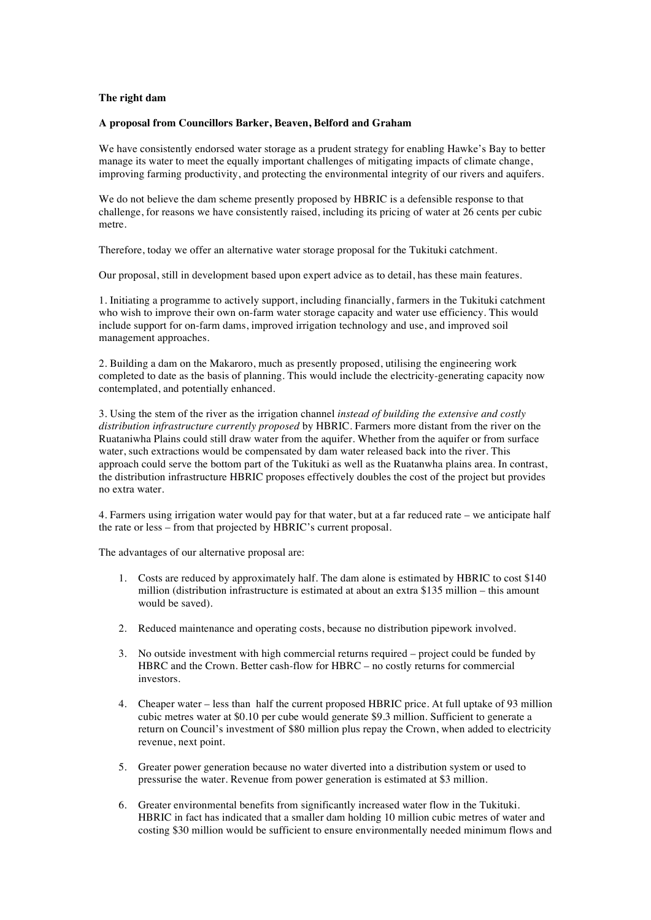## **The right dam**

## **A proposal from Councillors Barker, Beaven, Belford and Graham**

We have consistently endorsed water storage as a prudent strategy for enabling Hawke's Bay to better manage its water to meet the equally important challenges of mitigating impacts of climate change, improving farming productivity, and protecting the environmental integrity of our rivers and aquifers.

We do not believe the dam scheme presently proposed by HBRIC is a defensible response to that challenge, for reasons we have consistently raised, including its pricing of water at 26 cents per cubic metre.

Therefore, today we offer an alternative water storage proposal for the Tukituki catchment.

Our proposal, still in development based upon expert advice as to detail, has these main features.

1. Initiating a programme to actively support, including financially, farmers in the Tukituki catchment who wish to improve their own on-farm water storage capacity and water use efficiency. This would include support for on-farm dams, improved irrigation technology and use, and improved soil management approaches.

2. Building a dam on the Makaroro, much as presently proposed, utilising the engineering work completed to date as the basis of planning. This would include the electricity-generating capacity now contemplated, and potentially enhanced.

3. Using the stem of the river as the irrigation channel *instead of building the extensive and costly distribution infrastructure currently proposed* by HBRIC. Farmers more distant from the river on the Ruataniwha Plains could still draw water from the aquifer. Whether from the aquifer or from surface water, such extractions would be compensated by dam water released back into the river. This approach could serve the bottom part of the Tukituki as well as the Ruatanwha plains area. In contrast, the distribution infrastructure HBRIC proposes effectively doubles the cost of the project but provides no extra water.

4. Farmers using irrigation water would pay for that water, but at a far reduced rate – we anticipate half the rate or less – from that projected by HBRIC's current proposal.

The advantages of our alternative proposal are:

- 1. Costs are reduced by approximately half. The dam alone is estimated by HBRIC to cost \$140 million (distribution infrastructure is estimated at about an extra \$135 million – this amount would be saved).
- 2. Reduced maintenance and operating costs, because no distribution pipework involved.
- 3. No outside investment with high commercial returns required project could be funded by HBRC and the Crown. Better cash-flow for HBRC – no costly returns for commercial investors.
- 4. Cheaper water less than half the current proposed HBRIC price. At full uptake of 93 million cubic metres water at \$0.10 per cube would generate \$9.3 million. Sufficient to generate a return on Council's investment of \$80 million plus repay the Crown, when added to electricity revenue, next point.
- 5. Greater power generation because no water diverted into a distribution system or used to pressurise the water. Revenue from power generation is estimated at \$3 million.
- 6. Greater environmental benefits from significantly increased water flow in the Tukituki. HBRIC in fact has indicated that a smaller dam holding 10 million cubic metres of water and costing \$30 million would be sufficient to ensure environmentally needed minimum flows and